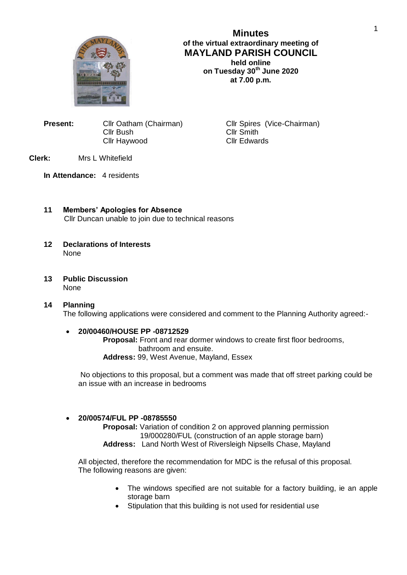

# **Minutes of the virtual extraordinary meeting of MAYLAND PARISH COUNCIL held online**

**on Tuesday 30th June 2020 at 7.00 p.m.**

**Present:** Cllr Oatham (Chairman) Cllr Spires (Vice-Chairman) Cllr Bush Cllr Smith Cllr Haywood Cllr Edwards

## **Clerk:** Mrs L Whitefield

**In Attendance:** 4 residents

- **11 Members' Apologies for Absence** Cllr Duncan unable to join due to technical reasons
- **12 Declarations of Interests** None
- **13 Public Discussion** None
- **14 Planning** The following applications were considered and comment to the Planning Authority agreed:-

### **20/00460/HOUSE PP -08712529**

**Proposal:** Front and rear dormer windows to create first floor bedrooms, bathroom and ensuite. **Address:** 99, West Avenue, Mayland, Essex

No objections to this proposal, but a comment was made that off street parking could be an issue with an increase in bedrooms

### **20/00574/FUL PP -08785550**

**Proposal:** Variation of condition 2 on approved planning permission 19/000280/FUL (construction of an apple storage barn) **Address:** Land North West of Riversleigh Nipsells Chase, Mayland

All objected, therefore the recommendation for MDC is the refusal of this proposal. The following reasons are given:

- The windows specified are not suitable for a factory building, ie an apple storage barn
- Stipulation that this building is not used for residential use